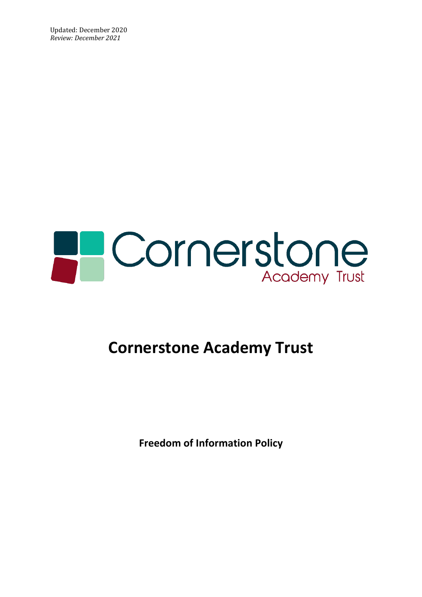Updated: December 2020 *Review: December 2021*



## **Cornerstone Academy Trust**

**Freedom of Information Policy**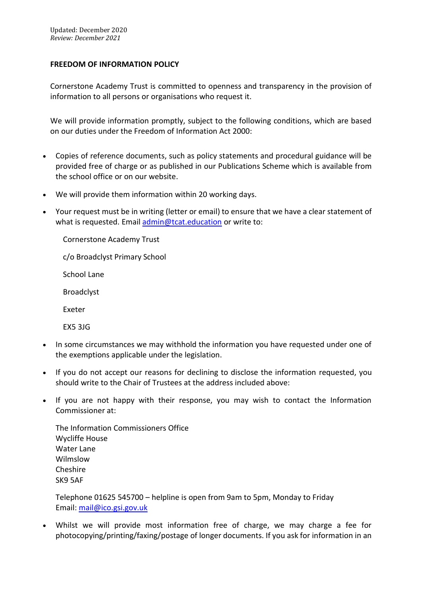## **FREEDOM OF INFORMATION POLICY**

Cornerstone Academy Trust is committed to openness and transparency in the provision of information to all persons or organisations who request it.

We will provide information promptly, subject to the following conditions, which are based on our duties under the Freedom of Information Act 2000:

- Copies of reference documents, such as policy statements and procedural guidance will be provided free of charge or as published in our Publications Scheme which is available from the school office or on our website.
- We will provide them information within 20 working days.
- Your request must be in writing (letter or email) to ensure that we have a clear statement of what is requested. Email [admin@tcat.education](mailto:admin@tcat.education) or write to:

Cornerstone Academy Trust

c/o Broadclyst Primary School

School Lane

Broadclyst

Exeter

EX5 3JG

- In some circumstances we may withhold the information you have requested under one of the exemptions applicable under the legislation.
- If you do not accept our reasons for declining to disclose the information requested, you should write to the Chair of Trustees at the address included above:
- If you are not happy with their response, you may wish to contact the Information Commissioner at:

The Information Commissioners Office Wycliffe House Water Lane Wilmslow Cheshire SK9 5AF

Telephone 01625 545700 – helpline is open from 9am to 5pm, Monday to Friday Email: [mail@ico.gsi.gov.uk](mailto:mail@ico.gsi.gov.uk)

• Whilst we will provide most information free of charge, we may charge a fee for photocopying/printing/faxing/postage of longer documents. If you ask for information in an